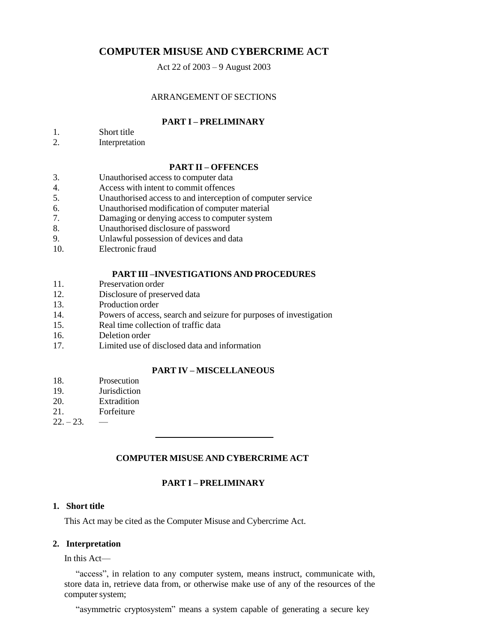# **COMPUTER MISUSE AND CYBERCRIME ACT**

Act 22 of 2003 – 9 August 2003

### ARRANGEMENT OF SECTIONS

## **PART I – PRELIMINARY**

1. Short title

2. Interpretation

### **PART II – OFFENCES**

- 3. Unauthorised access to computer data
- 4. Access with intent to commit offences
- 5. Unauthorised access to and interception of computer service
- 6. Unauthorised modification of computer material
- 7. Damaging or denying access to computer system
- 8. Unauthorised disclosure of password
- 9. Unlawful possession of devices and data
- 10. Electronic fraud

### **PART III –INVESTIGATIONS AND PROCEDURES**

- 11. Preservation order
- 12. Disclosure of preserved data
- 13. Production order
- 14. Powers of access, search and seizure for purposes of investigation
- 15. Real time collection of traffic data
- 16. Deletion order
- 17. Limited use of disclosed data and information

### **PART IV – MISCELLANEOUS**

- 18. Prosecution
- 19. Jurisdiction
- 20. Extradition
- 21. Forfeiture
- $22 23$  —

### **COMPUTER MISUSE AND CYBERCRIME ACT**

# **PART I – PRELIMINARY**

### **1. Short title**

This Act may be cited as the Computer Misuse and Cybercrime Act.

### **2. Interpretation**

In this Act—

"access", in relation to any computer system, means instruct, communicate with, store data in, retrieve data from, or otherwise make use of any of the resources of the computer system;

"asymmetric cryptosystem" means a system capable of generating a secure key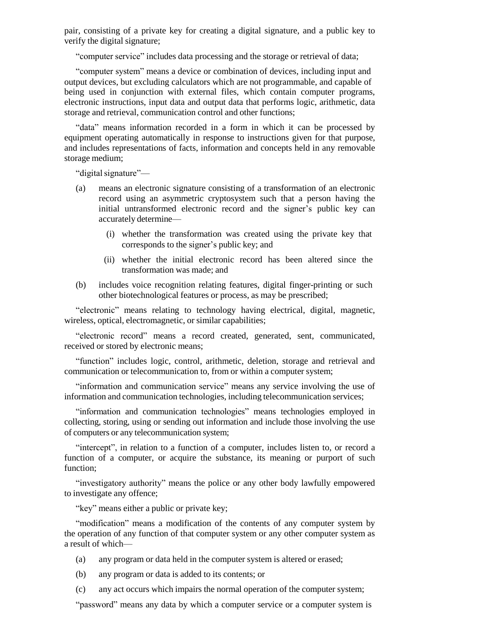pair, consisting of a private key for creating a digital signature, and a public key to verify the digital signature;

"computer service" includes data processing and the storage or retrieval of data;

"computer system" means a device or combination of devices, including input and output devices, but excluding calculators which are not programmable, and capable of being used in conjunction with external files, which contain computer programs, electronic instructions, input data and output data that performs logic, arithmetic, data storage and retrieval, communication control and other functions;

"data" means information recorded in a form in which it can be processed by equipment operating automatically in response to instructions given for that purpose, and includes representations of facts, information and concepts held in any removable storage medium;

"digital signature"—

- (a) means an electronic signature consisting of a transformation of an electronic record using an asymmetric cryptosystem such that a person having the initial untransformed electronic record and the signer's public key can accurately determine—
	- (i) whether the transformation was created using the private key that corresponds to the signer's public key; and
	- (ii) whether the initial electronic record has been altered since the transformation was made; and
- (b) includes voice recognition relating features, digital finger-printing or such other biotechnological features or process, as may be prescribed;

"electronic" means relating to technology having electrical, digital, magnetic, wireless, optical, electromagnetic, or similar capabilities;

"electronic record" means a record created, generated, sent, communicated, received or stored by electronic means;

"function" includes logic, control, arithmetic, deletion, storage and retrieval and communication or telecommunication to, from or within a computer system;

"information and communication service" means any service involving the use of information and communication technologies, including telecommunication services;

"information and communication technologies" means technologies employed in collecting, storing, using or sending out information and include those involving the use of computers or any telecommunication system;

"intercept", in relation to a function of a computer, includes listen to, or record a function of a computer, or acquire the substance, its meaning or purport of such function;

"investigatory authority" means the police or any other body lawfully empowered to investigate any offence;

"key" means either a public or private key;

"modification" means a modification of the contents of any computer system by the operation of any function of that computer system or any other computer system as a result of which—

- (a) any program or data held in the computer system is altered or erased;
- (b) any program or data is added to its contents; or
- (c) any act occurs which impairs the normal operation of the computer system;

"password" means any data by which a computer service or a computer system is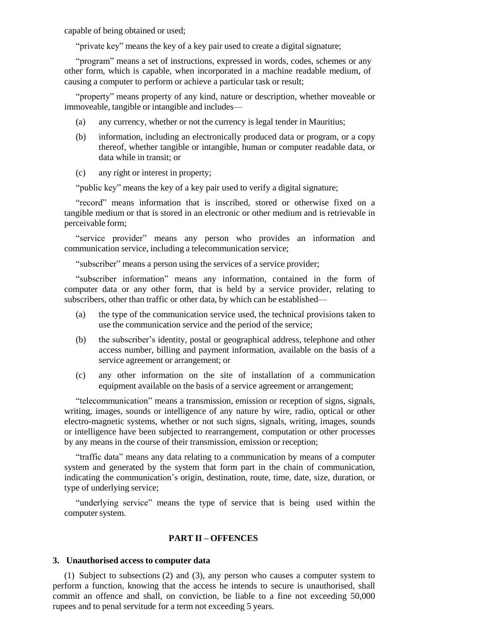capable of being obtained or used;

"private key" means the key of a key pair used to create a digital signature;

"program" means a set of instructions, expressed in words, codes, schemes or any other form, which is capable, when incorporated in a machine readable medium, of causing a computer to perform or achieve a particular task or result;

"property" means property of any kind, nature or description, whether moveable or immoveable, tangible or intangible and includes—

- (a) any currency, whether or not the currency is legal tender in Mauritius;
- (b) information, including an electronically produced data or program, or a copy thereof, whether tangible or intangible, human or computer readable data, or data while in transit; or
- (c) any right or interest in property;

"public key" means the key of a key pair used to verify a digital signature;

"record" means information that is inscribed, stored or otherwise fixed on a tangible medium or that is stored in an electronic or other medium and is retrievable in perceivable form;

"service provider" means any person who provides an information and communication service, including a telecommunication service;

"subscriber" means a person using the services of a service provider;

"subscriber information" means any information, contained in the form of computer data or any other form, that is held by a service provider, relating to subscribers, other than traffic or other data, by which can be established—

- (a) the type of the communication service used, the technical provisions taken to use the communication service and the period of the service;
- (b) the subscriber's identity, postal or geographical address, telephone and other access number, billing and payment information, available on the basis of a service agreement or arrangement; or
- (c) any other information on the site of installation of a communication equipment available on the basis of a service agreement or arrangement;

"telecommunication" means a transmission, emission or reception of signs, signals, writing, images, sounds or intelligence of any nature by wire, radio, optical or other electro-magnetic systems, whether or not such signs, signals, writing, images, sounds or intelligence have been subjected to rearrangement, computation or other processes by any means in the course of their transmission, emission or reception;

"traffic data" means any data relating to a communication by means of a computer system and generated by the system that form part in the chain of communication, indicating the communication's origin, destination, route, time, date, size, duration, or type of underlying service;

"underlying service" means the type of service that is being used within the computer system.

#### **PART II – OFFENCES**

#### **3. Unauthorised access to computer data**

(1) Subject to subsections (2) and (3), any person who causes a computer system to perform a function, knowing that the access he intends to secure is unauthorised, shall commit an offence and shall, on conviction, be liable to a fine not exceeding 50,000 rupees and to penal servitude for a term not exceeding 5 years.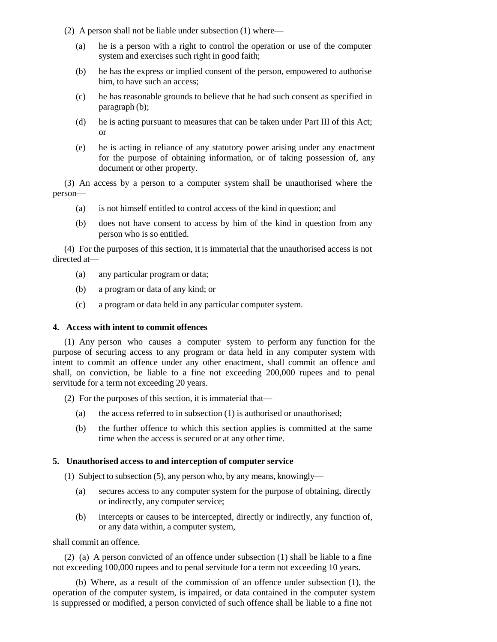- (2) A person shall not be liable under subsection (1) where—
	- (a) he is a person with a right to control the operation or use of the computer system and exercises such right in good faith;
	- (b) he has the express or implied consent of the person, empowered to authorise him, to have such an access:
	- (c) he has reasonable grounds to believe that he had such consent as specified in paragraph (b);
	- (d) he is acting pursuant to measures that can be taken under Part III of this Act; or
	- (e) he is acting in reliance of any statutory power arising under any enactment for the purpose of obtaining information, or of taking possession of, any document or other property.

(3) An access by a person to a computer system shall be unauthorised where the person—

- (a) is not himself entitled to control access of the kind in question; and
- (b) does not have consent to access by him of the kind in question from any person who is so entitled.

(4) For the purposes of this section, it is immaterial that the unauthorised access is not directed at—

- (a) any particular program or data;
- (b) a program or data of any kind; or
- (c) a program or data held in any particular computer system.

### **4. Access with intent to commit offences**

(1) Any person who causes a computer system to perform any function for the purpose of securing access to any program or data held in any computer system with intent to commit an offence under any other enactment, shall commit an offence and shall, on conviction, be liable to a fine not exceeding 200,000 rupees and to penal servitude for a term not exceeding 20 years.

- (2) For the purposes of this section, it is immaterial that—
	- (a) the access referred to in subsection  $(1)$  is authorised or unauthorised;
	- (b) the further offence to which this section applies is committed at the same time when the access is secured or at any other time.

# **5. Unauthorised access to and interception of computer service**

- (1) Subject to subsection (5), any person who, by any means, knowingly—
	- (a) secures access to any computer system for the purpose of obtaining, directly or indirectly, any computer service;
	- (b) intercepts or causes to be intercepted, directly or indirectly, any function of, or any data within, a computer system,

shall commit an offence.

(2) (a) A person convicted of an offence under subsection (1) shall be liable to a fine not exceeding 100,000 rupees and to penal servitude for a term not exceeding 10 years.

(b) Where, as a result of the commission of an offence under subsection (1), the operation of the computer system, is impaired, or data contained in the computer system is suppressed or modified, a person convicted of such offence shall be liable to a fine not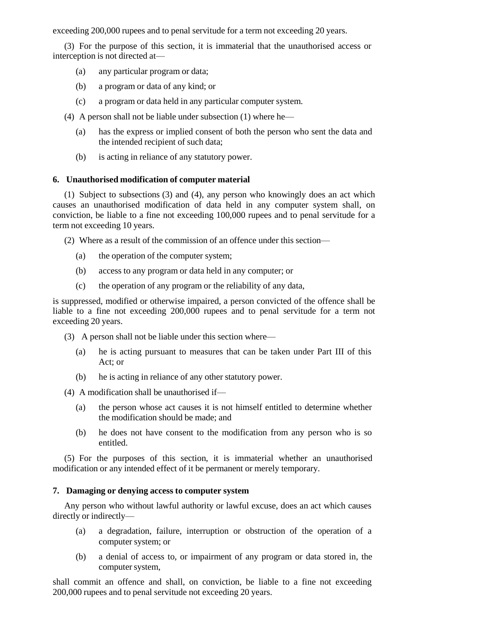exceeding 200,000 rupees and to penal servitude for a term not exceeding 20 years.

(3) For the purpose of this section, it is immaterial that the unauthorised access or interception is not directed at—

- (a) any particular program or data;
- (b) a program or data of any kind; or
- (c) a program or data held in any particular computer system.
- (4) A person shall not be liable under subsection (1) where he—
	- (a) has the express or implied consent of both the person who sent the data and the intended recipient of such data;
	- (b) is acting in reliance of any statutory power.

## **6. Unauthorised modification of computer material**

(1) Subject to subsections (3) and (4), any person who knowingly does an act which causes an unauthorised modification of data held in any computer system shall, on conviction, be liable to a fine not exceeding 100,000 rupees and to penal servitude for a term not exceeding 10 years.

(2) Where as a result of the commission of an offence under this section—

- (a) the operation of the computer system;
- (b) access to any program or data held in any computer; or
- (c) the operation of any program or the reliability of any data,

is suppressed, modified or otherwise impaired, a person convicted of the offence shall be liable to a fine not exceeding 200,000 rupees and to penal servitude for a term not exceeding 20 years.

- (3) A person shall not be liable under this section where—
	- (a) he is acting pursuant to measures that can be taken under Part III of this Act; or
	- (b) he is acting in reliance of any other statutory power.
- (4) A modification shall be unauthorised if—
	- (a) the person whose act causes it is not himself entitled to determine whether the modification should be made; and
	- (b) he does not have consent to the modification from any person who is so entitled.

(5) For the purposes of this section, it is immaterial whether an unauthorised modification or any intended effect of it be permanent or merely temporary.

### **7. Damaging or denying access to computer system**

Any person who without lawful authority or lawful excuse, does an act which causes directly or indirectly—

- (a) a degradation, failure, interruption or obstruction of the operation of a computer system; or
- (b) a denial of access to, or impairment of any program or data stored in, the computer system,

shall commit an offence and shall, on conviction, be liable to a fine not exceeding 200,000 rupees and to penal servitude not exceeding 20 years.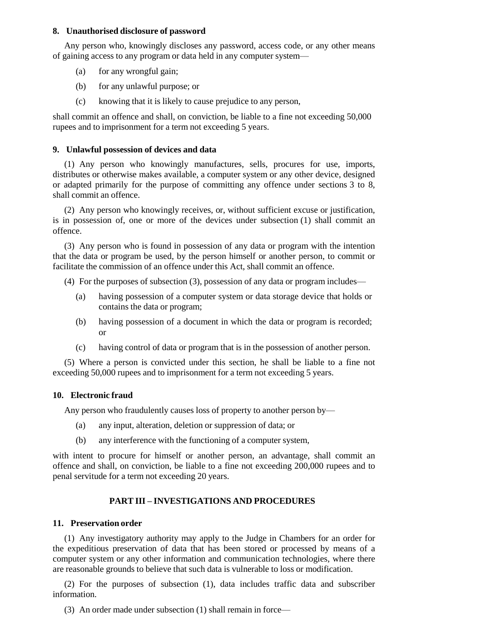## **8. Unauthorised disclosure of password**

Any person who, knowingly discloses any password, access code, or any other means of gaining access to any program or data held in any computer system—

- (a) for any wrongful gain;
- (b) for any unlawful purpose; or
- (c) knowing that it is likely to cause prejudice to any person,

shall commit an offence and shall, on conviction, be liable to a fine not exceeding 50,000 rupees and to imprisonment for a term not exceeding 5 years.

## **9. Unlawful possession of devices and data**

(1) Any person who knowingly manufactures, sells, procures for use, imports, distributes or otherwise makes available, a computer system or any other device, designed or adapted primarily for the purpose of committing any offence under sections 3 to 8, shall commit an offence.

(2) Any person who knowingly receives, or, without sufficient excuse or justification, is in possession of, one or more of the devices under subsection (1) shall commit an offence.

(3) Any person who is found in possession of any data or program with the intention that the data or program be used, by the person himself or another person, to commit or facilitate the commission of an offence under this Act, shall commit an offence.

- (4) For the purposes of subsection (3), possession of any data or program includes—
	- (a) having possession of a computer system or data storage device that holds or contains the data or program;
	- (b) having possession of a document in which the data or program is recorded; or
	- (c) having control of data or program that is in the possession of another person.

(5) Where a person is convicted under this section, he shall be liable to a fine not exceeding 50,000 rupees and to imprisonment for a term not exceeding 5 years.

# **10. Electronic fraud**

Any person who fraudulently causes loss of property to another person by—

- (a) any input, alteration, deletion or suppression of data; or
- (b) any interference with the functioning of a computer system,

with intent to procure for himself or another person, an advantage, shall commit an offence and shall, on conviction, be liable to a fine not exceeding 200,000 rupees and to penal servitude for a term not exceeding 20 years.

# **PART III – INVESTIGATIONS AND PROCEDURES**

# **11. Preservation order**

(1) Any investigatory authority may apply to the Judge in Chambers for an order for the expeditious preservation of data that has been stored or processed by means of a computer system or any other information and communication technologies, where there are reasonable grounds to believe that such data is vulnerable to loss or modification.

(2) For the purposes of subsection (1), data includes traffic data and subscriber information.

(3) An order made under subsection (1) shall remain in force—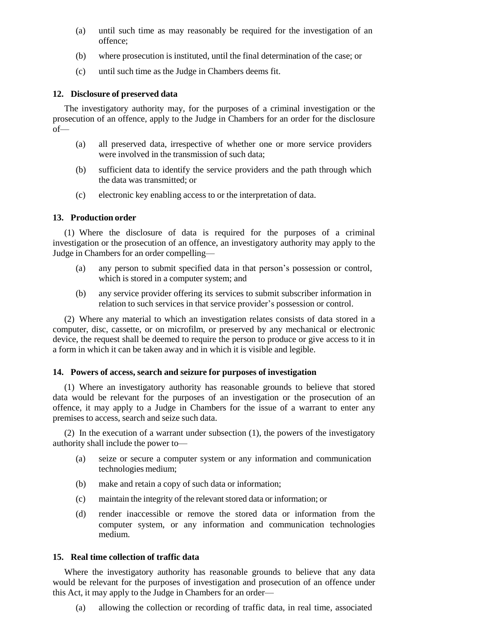- (a) until such time as may reasonably be required for the investigation of an offence;
- (b) where prosecution is instituted, until the final determination of the case; or
- (c) until such time as the Judge in Chambers deems fit.

### **12. Disclosure of preserved data**

The investigatory authority may, for the purposes of a criminal investigation or the prosecution of an offence, apply to the Judge in Chambers for an order for the disclosure of—

- (a) all preserved data, irrespective of whether one or more service providers were involved in the transmission of such data;
- (b) sufficient data to identify the service providers and the path through which the data was transmitted; or
- (c) electronic key enabling access to or the interpretation of data.

# **13. Production order**

(1) Where the disclosure of data is required for the purposes of a criminal investigation or the prosecution of an offence, an investigatory authority may apply to the Judge in Chambers for an order compelling—

- (a) any person to submit specified data in that person's possession or control, which is stored in a computer system; and
- (b) any service provider offering its services to submit subscriber information in relation to such services in that service provider's possession or control.

(2) Where any material to which an investigation relates consists of data stored in a computer, disc, cassette, or on microfilm, or preserved by any mechanical or electronic device, the request shall be deemed to require the person to produce or give access to it in a form in which it can be taken away and in which it is visible and legible.

### **14. Powers of access, search and seizure for purposes of investigation**

(1) Where an investigatory authority has reasonable grounds to believe that stored data would be relevant for the purposes of an investigation or the prosecution of an offence, it may apply to a Judge in Chambers for the issue of a warrant to enter any premises to access, search and seize such data.

(2) In the execution of a warrant under subsection (1), the powers of the investigatory authority shall include the power to—

- (a) seize or secure a computer system or any information and communication technologies medium;
- (b) make and retain a copy of such data or information;
- (c) maintain the integrity of the relevantstored data or information; or
- (d) render inaccessible or remove the stored data or information from the computer system, or any information and communication technologies medium.

## **15. Real time collection of traffic data**

Where the investigatory authority has reasonable grounds to believe that any data would be relevant for the purposes of investigation and prosecution of an offence under this Act, it may apply to the Judge in Chambers for an order—

(a) allowing the collection or recording of traffic data, in real time, associated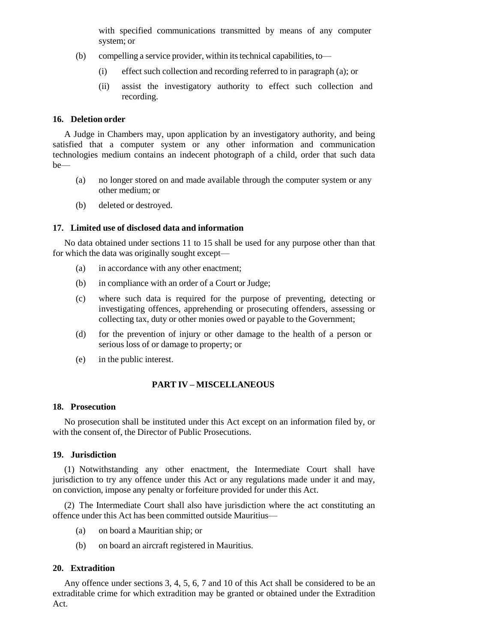with specified communications transmitted by means of any computer system; or

- $(b)$  compelling a service provider, within its technical capabilities, to—
	- (i) effect such collection and recording referred to in paragraph (a); or
	- (ii) assist the investigatory authority to effect such collection and recording.

#### **16. Deletion order**

A Judge in Chambers may, upon application by an investigatory authority, and being satisfied that a computer system or any other information and communication technologies medium contains an indecent photograph of a child, order that such data be—

- (a) no longer stored on and made available through the computer system or any other medium; or
- (b) deleted or destroyed.

### **17. Limited use of disclosed data and information**

No data obtained under sections 11 to 15 shall be used for any purpose other than that for which the data was originally sought except—

- (a) in accordance with any other enactment;
- (b) in compliance with an order of a Court or Judge;
- (c) where such data is required for the purpose of preventing, detecting or investigating offences, apprehending or prosecuting offenders, assessing or collecting tax, duty or other monies owed or payable to the Government;
- (d) for the prevention of injury or other damage to the health of a person or serious loss of or damage to property; or
- (e) in the public interest.

## **PART IV – MISCELLANEOUS**

#### **18. Prosecution**

No prosecution shall be instituted under this Act except on an information filed by, or with the consent of, the Director of Public Prosecutions.

## **19. Jurisdiction**

(1) Notwithstanding any other enactment, the Intermediate Court shall have jurisdiction to try any offence under this Act or any regulations made under it and may, on conviction, impose any penalty or forfeiture provided for under this Act.

(2) The Intermediate Court shall also have jurisdiction where the act constituting an offence under this Act has been committed outside Mauritius—

- (a) on board a Mauritian ship; or
- (b) on board an aircraft registered in Mauritius.

## **20. Extradition**

Any offence under sections 3, 4, 5, 6, 7 and 10 of this Act shall be considered to be an extraditable crime for which extradition may be granted or obtained under the Extradition Act.